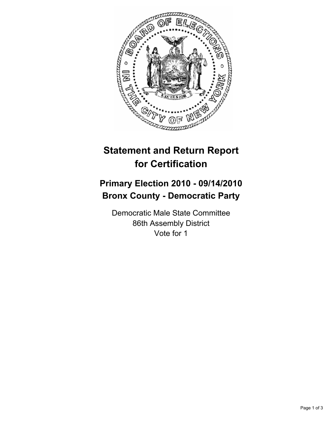

## **Statement and Return Report for Certification**

## **Primary Election 2010 - 09/14/2010 Bronx County - Democratic Party**

Democratic Male State Committee 86th Assembly District Vote for 1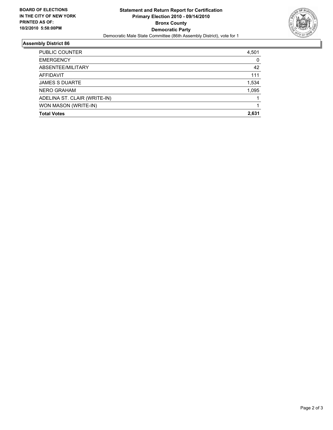

## **Assembly District 86**

| <b>Total Votes</b>           | 2.631 |
|------------------------------|-------|
| WON MASON (WRITE-IN)         |       |
| ADELINA ST. CLAIR (WRITE-IN) |       |
| <b>NERO GRAHAM</b>           | 1,095 |
| <b>JAMES S DUARTE</b>        | 1,534 |
| AFFIDAVIT                    | 111   |
| ABSENTEE/MILITARY            | 42    |
| <b>EMERGENCY</b>             | 0     |
| PUBLIC COUNTER               | 4,501 |
|                              |       |